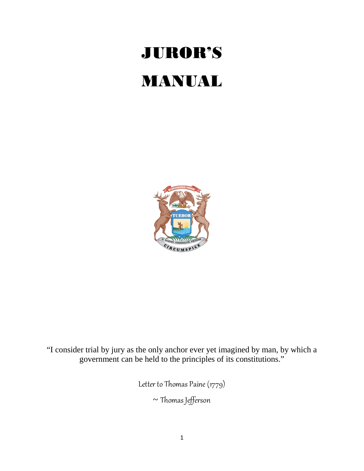# JUROR'S MANUAL



"I consider trial by jury as the only anchor ever yet imagined by man, by which a government can be held to the principles of its constitutions."

Letter to Thomas Paine (1779)

~ Thomas Jefferson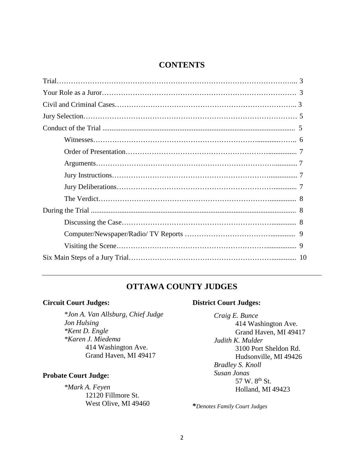### **CONTENTS**

## **OTTAWA COUNTY JUDGES**

## **Circuit Court Judges:**

*\*Jon A. Van Allsburg, Chief Judge Jon Hulsing \*Kent D. Engle \*Karen J. Miedema* 414 Washington Ave. Grand Haven, MI 49417

#### **Probate Court Judge:**

*\*Mark A. Feyen* 12120 Fillmore St. West Olive, MI 49460

## **District Court Judges:**

*Craig E. Bunce* 414 Washington Ave. Grand Haven, MI 49417 *Judith K. Mulder* 3100 Port Sheldon Rd. Hudsonville, MI 49426 *Bradley S. Knoll Susan Jonas* 57 W. 8<sup>th</sup> St. Holland, MI 49423

**\****Denotes Family Court Judges*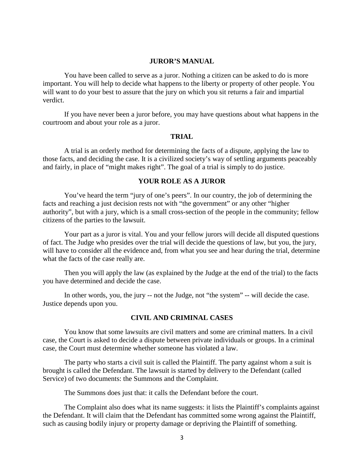#### **JUROR'S MANUAL**

You have been called to serve as a juror. Nothing a citizen can be asked to do is more important. You will help to decide what happens to the liberty or property of other people. You will want to do your best to assure that the jury on which you sit returns a fair and impartial verdict.

If you have never been a juror before, you may have questions about what happens in the courtroom and about your role as a juror.

#### **TRIAL**

A trial is an orderly method for determining the facts of a dispute, applying the law to those facts, and deciding the case. It is a civilized society's way of settling arguments peaceably and fairly, in place of "might makes right". The goal of a trial is simply to do justice.

#### **YOUR ROLE AS A JUROR**

You've heard the term "jury of one's peers". In our country, the job of determining the facts and reaching a just decision rests not with "the government" or any other "higher authority", but with a jury, which is a small cross-section of the people in the community; fellow citizens of the parties to the lawsuit.

Your part as a juror is vital. You and your fellow jurors will decide all disputed questions of fact. The Judge who presides over the trial will decide the questions of law, but you, the jury, will have to consider all the evidence and, from what you see and hear during the trial, determine what the facts of the case really are.

Then you will apply the law (as explained by the Judge at the end of the trial) to the facts you have determined and decide the case.

In other words, you, the jury -- not the Judge, not "the system" -- will decide the case. Justice depends upon you.

#### **CIVIL AND CRIMINAL CASES**

You know that some lawsuits are civil matters and some are criminal matters. In a civil case, the Court is asked to decide a dispute between private individuals or groups. In a criminal case, the Court must determine whether someone has violated a law.

The party who starts a civil suit is called the Plaintiff. The party against whom a suit is brought is called the Defendant. The lawsuit is started by delivery to the Defendant (called Service) of two documents: the Summons and the Complaint.

The Summons does just that: it calls the Defendant before the court.

The Complaint also does what its name suggests: it lists the Plaintiff's complaints against the Defendant. It will claim that the Defendant has committed some wrong against the Plaintiff, such as causing bodily injury or property damage or depriving the Plaintiff of something.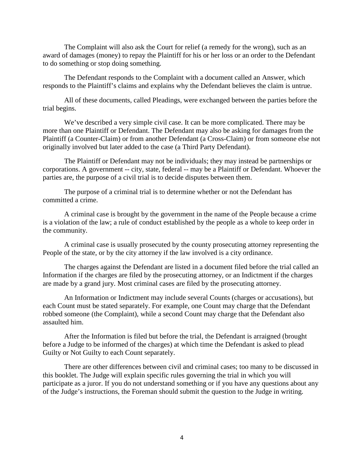The Complaint will also ask the Court for relief (a remedy for the wrong), such as an award of damages (money) to repay the Plaintiff for his or her loss or an order to the Defendant to do something or stop doing something.

The Defendant responds to the Complaint with a document called an Answer, which responds to the Plaintiff's claims and explains why the Defendant believes the claim is untrue.

All of these documents, called Pleadings, were exchanged between the parties before the trial begins.

We've described a very simple civil case. It can be more complicated. There may be more than one Plaintiff or Defendant. The Defendant may also be asking for damages from the Plaintiff (a Counter-Claim) or from another Defendant (a Cross-Claim) or from someone else not originally involved but later added to the case (a Third Party Defendant).

The Plaintiff or Defendant may not be individuals; they may instead be partnerships or corporations. A government -- city, state, federal -- may be a Plaintiff or Defendant. Whoever the parties are, the purpose of a civil trial is to decide disputes between them.

The purpose of a criminal trial is to determine whether or not the Defendant has committed a crime.

A criminal case is brought by the government in the name of the People because a crime is a violation of the law; a rule of conduct established by the people as a whole to keep order in the community.

A criminal case is usually prosecuted by the county prosecuting attorney representing the People of the state, or by the city attorney if the law involved is a city ordinance.

The charges against the Defendant are listed in a document filed before the trial called an Information if the charges are filed by the prosecuting attorney, or an Indictment if the charges are made by a grand jury. Most criminal cases are filed by the prosecuting attorney.

An Information or Indictment may include several Counts (charges or accusations), but each Count must be stated separately. For example, one Count may charge that the Defendant robbed someone (the Complaint), while a second Count may charge that the Defendant also assaulted him.

After the Information is filed but before the trial, the Defendant is arraigned (brought before a Judge to be informed of the charges) at which time the Defendant is asked to plead Guilty or Not Guilty to each Count separately.

There are other differences between civil and criminal cases; too many to be discussed in this booklet. The Judge will explain specific rules governing the trial in which you will participate as a juror. If you do not understand something or if you have any questions about any of the Judge's instructions, the Foreman should submit the question to the Judge in writing.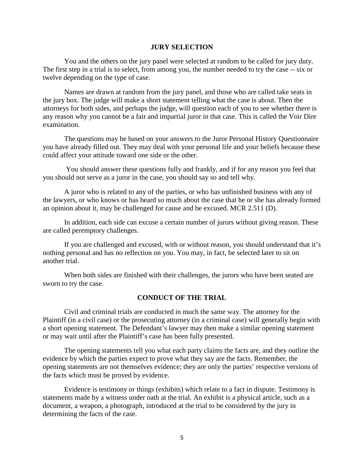#### **JURY SELECTION**

You and the others on the jury panel were selected at random to be called for jury duty. The first step in a trial is to select, from among you, the number needed to try the case -- six or twelve depending on the type of case.

Names are drawn at random from the jury panel, and those who are called take seats in the jury box. The judge will make a short statement telling what the case is about. Then the attorneys for both sides, and perhaps the judge, will question each of you to see whether there is any reason why you cannot be a fair and impartial juror in that case. This is called the Voir Dire examination.

The questions may be based on your answers to the Juror Personal History Questionnaire you have already filled out. They may deal with your personal life and your beliefs because these could affect your attitude toward one side or the other.

You should answer these questions fully and frankly, and if for any reason you feel that you should not serve as a juror in the case, you should say so and tell why.

A juror who is related to any of the parties, or who has unfinished business with any of the lawyers, or who knows or has heard so much about the case that he or she has already formed an opinion about it, may be challenged for cause and be excused. MCR 2.511 (D).

In addition, each side can excuse a certain number of jurors without giving reason. These are called peremptory challenges.

If you are challenged and excused, with or without reason, you should understand that it's nothing personal and has no reflection on you. You may, in fact, be selected later to sit on another trial.

When both sides are finished with their challenges, the jurors who have been seated are sworn to try the case.

#### **CONDUCT OF THE TRIAL**

Civil and criminal trials are conducted in much the same way. The attorney for the Plaintiff (in a civil case) or the prosecuting attorney (in a criminal case) will generally begin with a short opening statement. The Defendant's lawyer may then make a similar opening statement or may wait until after the Plaintiff's case has been fully presented.

The opening statements tell you what each party claims the facts are, and they outline the evidence by which the parties expect to prove what they say are the facts. Remember, the opening statements are not themselves evidence; they are only the parties' respective versions of the facts which must be proved by evidence.

Evidence is testimony or things (exhibits) which relate to a fact in dispute. Testimony is statements made by a witness under oath at the trial. An exhibit is a physical article, such as a document, a weapon, a photograph, introduced at the trial to be considered by the jury in determining the facts of the case.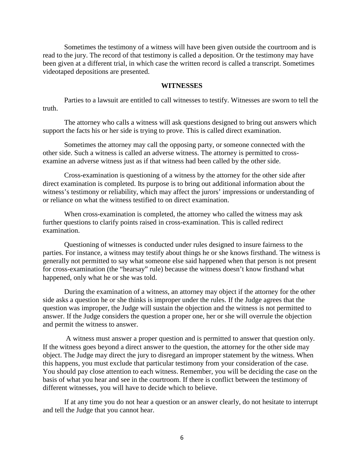Sometimes the testimony of a witness will have been given outside the courtroom and is read to the jury. The record of that testimony is called a deposition. Or the testimony may have been given at a different trial, in which case the written record is called a transcript. Sometimes videotaped depositions are presented.

#### **WITNESSES**

Parties to a lawsuit are entitled to call witnesses to testify. Witnesses are sworn to tell the truth.

The attorney who calls a witness will ask questions designed to bring out answers which support the facts his or her side is trying to prove. This is called direct examination.

Sometimes the attorney may call the opposing party, or someone connected with the other side. Such a witness is called an adverse witness. The attorney is permitted to crossexamine an adverse witness just as if that witness had been called by the other side.

Cross-examination is questioning of a witness by the attorney for the other side after direct examination is completed. Its purpose is to bring out additional information about the witness's testimony or reliability, which may affect the jurors' impressions or understanding of or reliance on what the witness testified to on direct examination.

When cross-examination is completed, the attorney who called the witness may ask further questions to clarify points raised in cross-examination. This is called redirect examination.

Questioning of witnesses is conducted under rules designed to insure fairness to the parties. For instance, a witness may testify about things he or she knows firsthand. The witness is generally not permitted to say what someone else said happened when that person is not present for cross-examination (the "hearsay" rule) because the witness doesn't know firsthand what happened, only what he or she was told.

During the examination of a witness, an attorney may object if the attorney for the other side asks a question he or she thinks is improper under the rules. If the Judge agrees that the question was improper, the Judge will sustain the objection and the witness is not permitted to answer. If the Judge considers the question a proper one, her or she will overrule the objection and permit the witness to answer.

A witness must answer a proper question and is permitted to answer that question only. If the witness goes beyond a direct answer to the question, the attorney for the other side may object. The Judge may direct the jury to disregard an improper statement by the witness. When this happens, you must exclude that particular testimony from your consideration of the case. You should pay close attention to each witness. Remember, you will be deciding the case on the basis of what you hear and see in the courtroom. If there is conflict between the testimony of different witnesses, you will have to decide which to believe.

If at any time you do not hear a question or an answer clearly, do not hesitate to interrupt and tell the Judge that you cannot hear.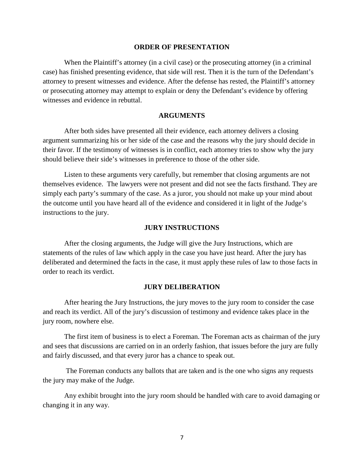#### **ORDER OF PRESENTATION**

When the Plaintiff's attorney (in a civil case) or the prosecuting attorney (in a criminal case) has finished presenting evidence, that side will rest. Then it is the turn of the Defendant's attorney to present witnesses and evidence. After the defense has rested, the Plaintiff's attorney or prosecuting attorney may attempt to explain or deny the Defendant's evidence by offering witnesses and evidence in rebuttal.

#### **ARGUMENTS**

After both sides have presented all their evidence, each attorney delivers a closing argument summarizing his or her side of the case and the reasons why the jury should decide in their favor. If the testimony of witnesses is in conflict, each attorney tries to show why the jury should believe their side's witnesses in preference to those of the other side.

Listen to these arguments very carefully, but remember that closing arguments are not themselves evidence. The lawyers were not present and did not see the facts firsthand. They are simply each party's summary of the case. As a juror, you should not make up your mind about the outcome until you have heard all of the evidence and considered it in light of the Judge's instructions to the jury.

#### **JURY INSTRUCTIONS**

After the closing arguments, the Judge will give the Jury Instructions, which are statements of the rules of law which apply in the case you have just heard. After the jury has deliberated and determined the facts in the case, it must apply these rules of law to those facts in order to reach its verdict.

#### **JURY DELIBERATION**

After hearing the Jury Instructions, the jury moves to the jury room to consider the case and reach its verdict. All of the jury's discussion of testimony and evidence takes place in the jury room, nowhere else.

The first item of business is to elect a Foreman. The Foreman acts as chairman of the jury and sees that discussions are carried on in an orderly fashion, that issues before the jury are fully and fairly discussed, and that every juror has a chance to speak out.

The Foreman conducts any ballots that are taken and is the one who signs any requests the jury may make of the Judge.

Any exhibit brought into the jury room should be handled with care to avoid damaging or changing it in any way.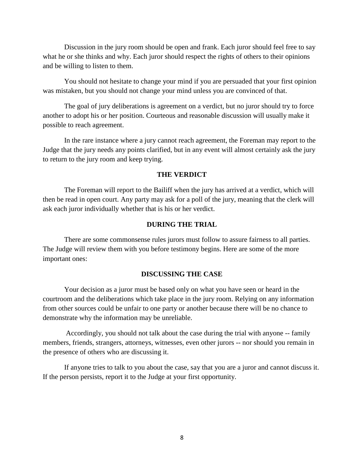Discussion in the jury room should be open and frank. Each juror should feel free to say what he or she thinks and why. Each juror should respect the rights of others to their opinions and be willing to listen to them.

You should not hesitate to change your mind if you are persuaded that your first opinion was mistaken, but you should not change your mind unless you are convinced of that.

The goal of jury deliberations is agreement on a verdict, but no juror should try to force another to adopt his or her position. Courteous and reasonable discussion will usually make it possible to reach agreement.

In the rare instance where a jury cannot reach agreement, the Foreman may report to the Judge that the jury needs any points clarified, but in any event will almost certainly ask the jury to return to the jury room and keep trying.

#### **THE VERDICT**

The Foreman will report to the Bailiff when the jury has arrived at a verdict, which will then be read in open court. Any party may ask for a poll of the jury, meaning that the clerk will ask each juror individually whether that is his or her verdict.

#### **DURING THE TRIAL**

There are some commonsense rules jurors must follow to assure fairness to all parties. The Judge will review them with you before testimony begins. Here are some of the more important ones:

#### **DISCUSSING THE CASE**

Your decision as a juror must be based only on what you have seen or heard in the courtroom and the deliberations which take place in the jury room. Relying on any information from other sources could be unfair to one party or another because there will be no chance to demonstrate why the information may be unreliable.

Accordingly, you should not talk about the case during the trial with anyone -- family members, friends, strangers, attorneys, witnesses, even other jurors -- nor should you remain in the presence of others who are discussing it.

If anyone tries to talk to you about the case, say that you are a juror and cannot discuss it. If the person persists, report it to the Judge at your first opportunity.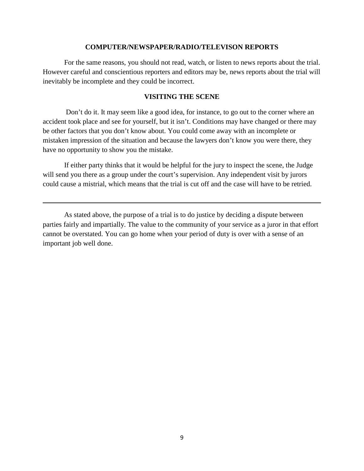#### **COMPUTER/NEWSPAPER/RADIO/TELEVISON REPORTS**

For the same reasons, you should not read, watch, or listen to news reports about the trial. However careful and conscientious reporters and editors may be, news reports about the trial will inevitably be incomplete and they could be incorrect.

#### **VISITING THE SCENE**

Don't do it. It may seem like a good idea, for instance, to go out to the corner where an accident took place and see for yourself, but it isn't. Conditions may have changed or there may be other factors that you don't know about. You could come away with an incomplete or mistaken impression of the situation and because the lawyers don't know you were there, they have no opportunity to show you the mistake.

If either party thinks that it would be helpful for the jury to inspect the scene, the Judge will send you there as a group under the court's supervision. Any independent visit by jurors could cause a mistrial, which means that the trial is cut off and the case will have to be retried.

As stated above, the purpose of a trial is to do justice by deciding a dispute between parties fairly and impartially. The value to the community of your service as a juror in that effort cannot be overstated. You can go home when your period of duty is over with a sense of an important job well done.